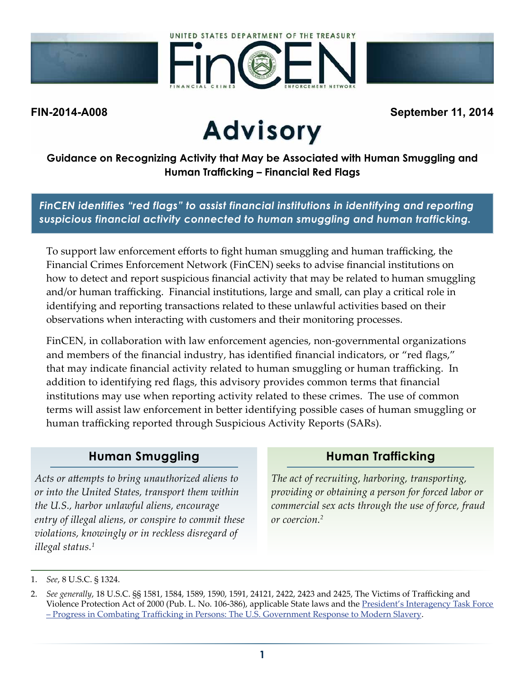





# **FIN-2014-A008 September 11, 2014**

**Guidance on Recognizing Activity that May be Associated with Human Smuggling and Human Trafficking – Financial Red Flags**

*FinCEN identifies "red flags" to assist financial institutions in identifying and reporting suspicious financial activity connected to human smuggling and human trafficking.*

To support law enforcement efforts to fight human smuggling and human trafficking, the Financial Crimes Enforcement Network (FinCEN) seeks to advise financial institutions on how to detect and report suspicious financial activity that may be related to human smuggling and/or human trafficking. Financial institutions, large and small, can play a critical role in identifying and reporting transactions related to these unlawful activities based on their observations when interacting with customers and their monitoring processes.

FinCEN, in collaboration with law enforcement agencies, non-governmental organizations and members of the financial industry, has identified financial indicators, or "red flags," that may indicate financial activity related to human smuggling or human trafficking. In addition to identifying red flags, this advisory provides common terms that financial institutions may use when reporting activity related to these crimes. The use of common terms will assist law enforcement in better identifying possible cases of human smuggling or human trafficking reported through Suspicious Activity Reports (SARs).

#### **Human Smuggling**

*Acts or attempts to bring unauthorized aliens to or into the United States, transport them within the U.S., harbor unlawful aliens, encourage entry of illegal aliens, or conspire to commit these violations, knowingly or in reckless disregard of illegal status.<sup>1</sup>*

#### **Human Trafficking**

*The act of recruiting, harboring, transporting, providing or obtaining a person for forced labor or commercial sex acts through the use of force, fraud or coercion.2*

<sup>1.</sup> *See*, 8 U.S.C. § 1324.

<sup>2.</sup> *See generally*, 18 U.S.C. §§ 1581, 1584, 1589, 1590, 1591, 24121, 2422, 2423 and 2425, The Victims of Trafficking and Violence Protection Act of 2000 (Pub. L. No. 106-386), applicable State laws and the President's Interagency Task Force [– Progress in Combating Trafficking in Persons: The U.S. Government Response to Modern Slavery.](http://www.state.gov/j/tip/rls/reports/2013/207198.htm)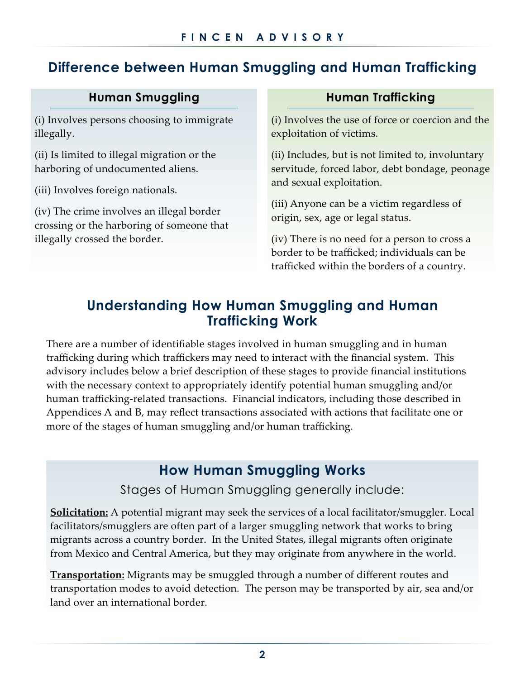# **Difference between Human Smuggling and Human Trafficking**

#### **Human Smuggling**

(i) Involves persons choosing to immigrate illegally.

(ii) Is limited to illegal migration or the harboring of undocumented aliens.

(iii) Involves foreign nationals.

(iv) The crime involves an illegal border crossing or the harboring of someone that illegally crossed the border.

#### **Human Trafficking**

(i) Involves the use of force or coercion and the exploitation of victims.

(ii) Includes, but is not limited to, involuntary servitude, forced labor, debt bondage, peonage and sexual exploitation.

(iii) Anyone can be a victim regardless of origin, sex, age or legal status.

(iv) There is no need for a person to cross a border to be trafficked; individuals can be trafficked within the borders of a country.

#### **Understanding How Human Smuggling and Human Trafficking Work**

There are a number of identifiable stages involved in human smuggling and in human trafficking during which traffickers may need to interact with the financial system. This advisory includes below a brief description of these stages to provide financial institutions with the necessary context to appropriately identify potential human smuggling and/or human trafficking-related transactions. Financial indicators, including those described in Appendices A and B, may reflect transactions associated with actions that facilitate one or more of the stages of human smuggling and/or human trafficking.

### **How Human Smuggling Works**

Stages of Human Smuggling generally include:

**Solicitation:** A potential migrant may seek the services of a local facilitator/smuggler. Local facilitators/smugglers are often part of a larger smuggling network that works to bring migrants across a country border. In the United States, illegal migrants often originate from Mexico and Central America, but they may originate from anywhere in the world.

**Transportation:** Migrants may be smuggled through a number of different routes and transportation modes to avoid detection. The person may be transported by air, sea and/or land over an international border.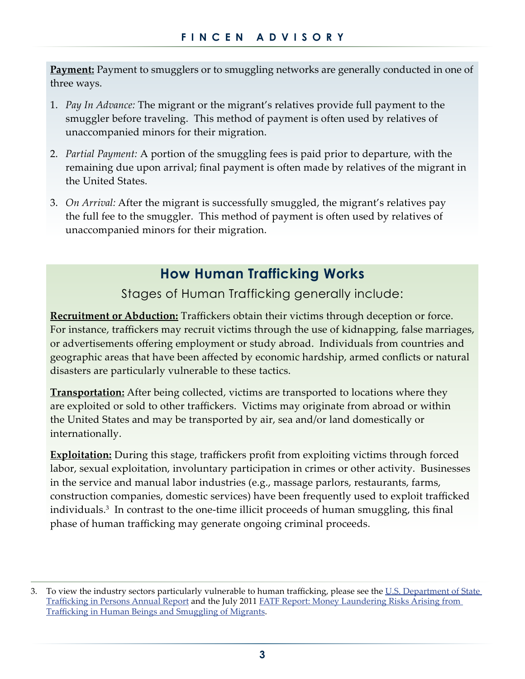**Payment:** Payment to smugglers or to smuggling networks are generally conducted in one of three ways.

- 1. *Pay In Advance:* The migrant or the migrant's relatives provide full payment to the smuggler before traveling. This method of payment is often used by relatives of unaccompanied minors for their migration.
- 2. *Partial Payment:* A portion of the smuggling fees is paid prior to departure, with the remaining due upon arrival; final payment is often made by relatives of the migrant in the United States.
- 3. *On Arrival:* After the migrant is successfully smuggled, the migrant's relatives pay the full fee to the smuggler. This method of payment is often used by relatives of unaccompanied minors for their migration.

#### **How Human Trafficking Works**

Stages of Human Trafficking generally include:

**Recruitment or Abduction:** Traffickers obtain their victims through deception or force. For instance, traffickers may recruit victims through the use of kidnapping, false marriages, or advertisements offering employment or study abroad. Individuals from countries and geographic areas that have been affected by economic hardship, armed conflicts or natural disasters are particularly vulnerable to these tactics.

**Transportation:** After being collected, victims are transported to locations where they are exploited or sold to other traffickers. Victims may originate from abroad or within the United States and may be transported by air, sea and/or land domestically or internationally.

**Exploitation:** During this stage, traffickers profit from exploiting victims through forced labor, sexual exploitation, involuntary participation in crimes or other activity. Businesses in the service and manual labor industries (e.g., massage parlors, restaurants, farms, construction companies, domestic services) have been frequently used to exploit trafficked individuals.3 In contrast to the one-time illicit proceeds of human smuggling, this final phase of human trafficking may generate ongoing criminal proceeds.

<sup>3.</sup> To view the industry sectors particularly vulnerable to human trafficking, please see the U.S. Department of State [Trafficking in Persons Annual Report](http://www.state.gov/j/tip/rls/tiprpt/) and the July 2011 [FATF Report: Money Laundering Risks Arising from](http://www.fatf-gafi.org/media/fatf/documents/reports/Trafficking%20in%20Human%20Beings%20and%20Smuggling%20of%20Migrants.pdf)  [Trafficking in Human Beings and Smuggling of Migrants](http://www.fatf-gafi.org/media/fatf/documents/reports/Trafficking%20in%20Human%20Beings%20and%20Smuggling%20of%20Migrants.pdf).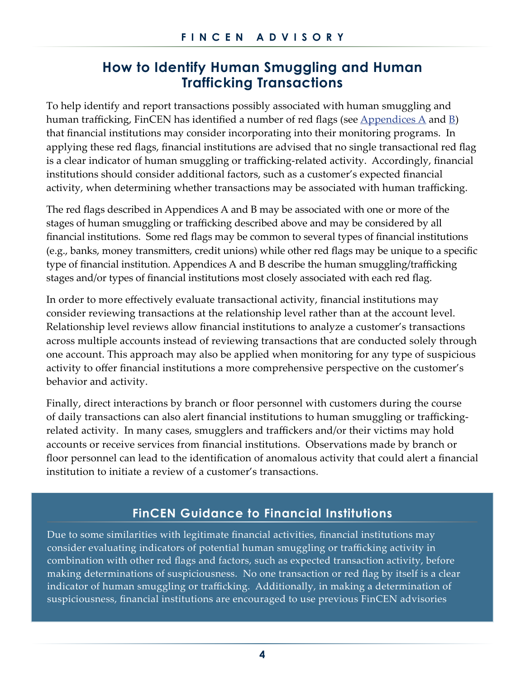#### **How to Identify Human Smuggling and Human Trafficking Transactions**

To help identify and report transactions possibly associated with human smuggling and human trafficking, FinCEN has identified a number of red flags (see  $\Delta$ ppendices  $\Delta$  and  $\underline{B}$  $\underline{B}$  $\underline{B}$ ) that financial institutions may consider incorporating into their monitoring programs. In applying these red flags, financial institutions are advised that no single transactional red flag is a clear indicator of human smuggling or trafficking-related activity. Accordingly, financial institutions should consider additional factors, such as a customer's expected financial activity, when determining whether transactions may be associated with human trafficking.

The red flags described in Appendices A and B may be associated with one or more of the stages of human smuggling or trafficking described above and may be considered by all financial institutions. Some red flags may be common to several types of financial institutions (e.g., banks, money transmitters, credit unions) while other red flags may be unique to a specific type of financial institution. Appendices A and B describe the human smuggling/trafficking stages and/or types of financial institutions most closely associated with each red flag.

In order to more effectively evaluate transactional activity, financial institutions may consider reviewing transactions at the relationship level rather than at the account level. Relationship level reviews allow financial institutions to analyze a customer's transactions across multiple accounts instead of reviewing transactions that are conducted solely through one account. This approach may also be applied when monitoring for any type of suspicious activity to offer financial institutions a more comprehensive perspective on the customer's behavior and activity.

Finally, direct interactions by branch or floor personnel with customers during the course of daily transactions can also alert financial institutions to human smuggling or traffickingrelated activity. In many cases, smugglers and traffickers and/or their victims may hold accounts or receive services from financial institutions. Observations made by branch or floor personnel can lead to the identification of anomalous activity that could alert a financial institution to initiate a review of a customer's transactions.

#### **FinCEN Guidance to Financial Institutions**

Due to some similarities with legitimate financial activities, financial institutions may consider evaluating indicators of potential human smuggling or trafficking activity in combination with other red flags and factors, such as expected transaction activity, before making determinations of suspiciousness. No one transaction or red flag by itself is a clear indicator of human smuggling or trafficking. Additionally, in making a determination of suspiciousness, financial institutions are encouraged to use previous FinCEN advisories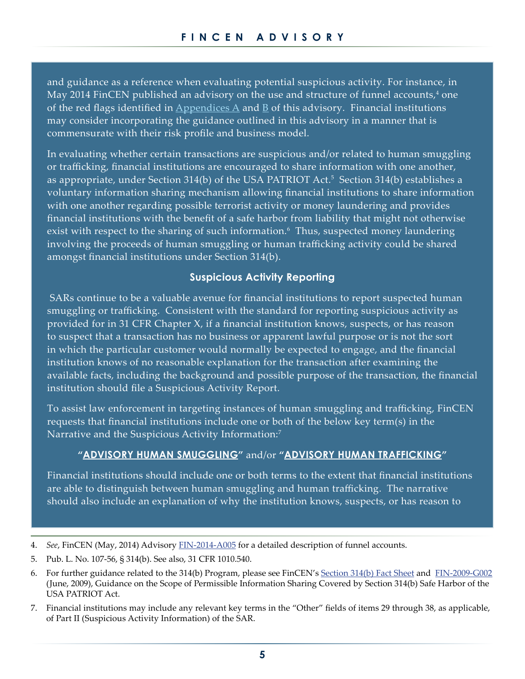and guidance as a reference when evaluating potential suspicious activity. For instance, in May 2014 FinCEN published an advisory on the use and structure of funnel accounts, $4$  one of the red flags identified in  $\Delta$ ppendices  $\Delta$  and  $\overline{B}$  $\overline{B}$  $\overline{B}$  of this advisory. Financial institutions may consider incorporating the guidance outlined in this advisory in a manner that is commensurate with their risk profile and business model.

In evaluating whether certain transactions are suspicious and/or related to human smuggling or trafficking, financial institutions are encouraged to share information with one another, as appropriate, under Section 314(b) of the USA PATRIOT Act.<sup>5</sup> Section 314(b) establishes a voluntary information sharing mechanism allowing financial institutions to share information with one another regarding possible terrorist activity or money laundering and provides financial institutions with the benefit of a safe harbor from liability that might not otherwise exist with respect to the sharing of such information.<sup>6</sup> Thus, suspected money laundering involving the proceeds of human smuggling or human trafficking activity could be shared amongst financial institutions under Section 314(b).

#### **Suspicious Activity Reporting**

 SARs continue to be a valuable avenue for financial institutions to report suspected human smuggling or trafficking. Consistent with the standard for reporting suspicious activity as provided for in 31 CFR Chapter X, if a financial institution knows, suspects, or has reason to suspect that a transaction has no business or apparent lawful purpose or is not the sort in which the particular customer would normally be expected to engage, and the financial institution knows of no reasonable explanation for the transaction after examining the available facts, including the background and possible purpose of the transaction, the financial institution should file a Suspicious Activity Report.

To assist law enforcement in targeting instances of human smuggling and trafficking, FinCEN requests that financial institutions include one or both of the below key term(s) in the Narrative and the Suspicious Activity Information:<sup>7</sup>

#### **"ADVISORY HUMAN SMUGGLING"** and/or **"ADVISORY HUMAN TRAFFICKING"**

Financial institutions should include one or both terms to the extent that financial institutions are able to distinguish between human smuggling and human trafficking. The narrative should also include an explanation of why the institution knows, suspects, or has reason to

<sup>4.</sup> *See*, FinCEN (May, 2014) Advisory [FIN-2014-A005](http://www.fincen.gov/statutes_regs/guidance/pdf/FIN-2014-A005.pdf) for a detailed description of funnel accounts.

<sup>5.</sup> Pub. L. No. 107-56, § 314(b). See also, 31 CFR 1010.540.

<sup>6.</sup> For further guidance related to the 314(b) Program, please see FinCEN's [Section 314\(b\) Fact Sheet](http://fincen.gov/statutes_regs/patriot/pdf/314bfactsheet.pdf) and [FIN-2009-G002](http://fincen.gov/statutes_regs/guidance/pdf/fin-2009-g002.pdf) (June, 2009), Guidance on the Scope of Permissible Information Sharing Covered by Section 314(b) Safe Harbor of the USA PATRIOT Act.

<sup>7.</sup> Financial institutions may include any relevant key terms in the "Other" fields of items 29 through 38, as applicable, of Part II (Suspicious Activity Information) of the SAR.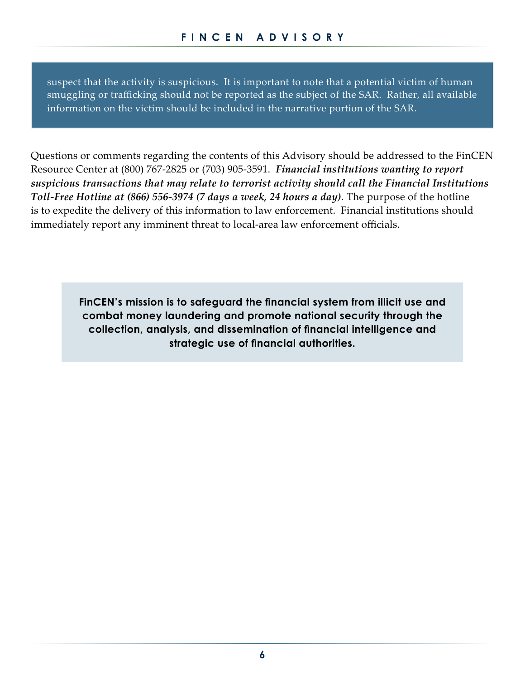suspect that the activity is suspicious. It is important to note that a potential victim of human smuggling or trafficking should not be reported as the subject of the SAR. Rather, all available information on the victim should be included in the narrative portion of the SAR.

Questions or comments regarding the contents of this Advisory should be addressed to the FinCEN Resource Center at (800) 767-2825 or (703) 905-3591. *Financial institutions wanting to report suspicious transactions that may relate to terrorist activity should call the Financial Institutions Toll-Free Hotline at (866) 556-3974 (7 days a week, 24 hours a day)*. The purpose of the hotline is to expedite the delivery of this information to law enforcement. Financial institutions should immediately report any imminent threat to local-area law enforcement officials.

> **FinCEN's mission is to safeguard the financial system from illicit use and combat money laundering and promote national security through the collection, analysis, and dissemination of financial intelligence and strategic use of financial authorities.**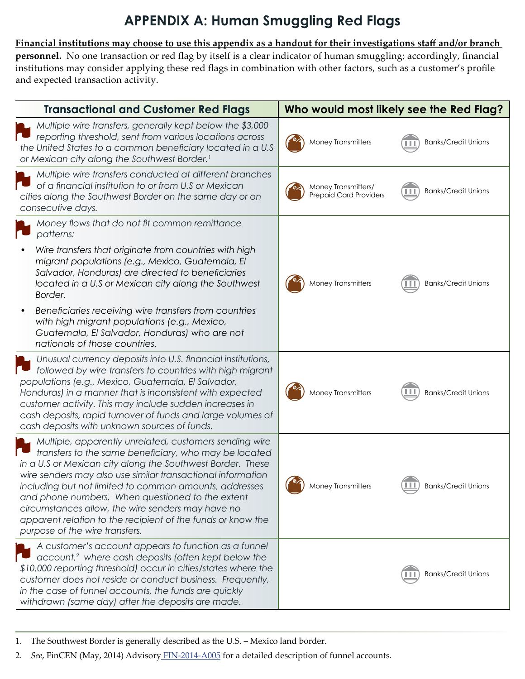## **APPENDIX A: Human Smuggling Red Flags**

#### <span id="page-6-0"></span>**Financial institutions may choose to use this appendix as a handout for their investigations staff and/or branch**

**personnel.** No one transaction or red flag by itself is a clear indicator of human smuggling; accordingly, financial institutions may consider applying these red flags in combination with other factors, such as a customer's profile and expected transaction activity.

| <b>Transactional and Customer Red Flags</b>                                                                                                                                                                                                                                                                                                                                                                                                                                                                      | Who would most likely see the Red Flag?                                            |
|------------------------------------------------------------------------------------------------------------------------------------------------------------------------------------------------------------------------------------------------------------------------------------------------------------------------------------------------------------------------------------------------------------------------------------------------------------------------------------------------------------------|------------------------------------------------------------------------------------|
| Multiple wire transfers, generally kept below the \$3,000<br>reporting threshold, sent from various locations across<br>the United States to a common beneficiary located in a U.S<br>or Mexican city along the Southwest Border. <sup>1</sup>                                                                                                                                                                                                                                                                   | Money Transmitters<br><b>Banks/Credit Unions</b>                                   |
| Multiple wire transfers conducted at different branches<br>of a financial institution to or from U.S or Mexican<br>cities along the Southwest Border on the same day or on<br>consecutive days.                                                                                                                                                                                                                                                                                                                  | Money Transmitters/<br><b>Banks/Credit Unions</b><br><b>Prepaid Card Providers</b> |
| Money flows that do not fit common remittance<br>patterns:                                                                                                                                                                                                                                                                                                                                                                                                                                                       |                                                                                    |
| Wire transfers that originate from countries with high<br>migrant populations (e.g., Mexico, Guatemala, El<br>Salvador, Honduras) are directed to beneficiaries<br>located in a U.S or Mexican city along the Southwest<br>Border.                                                                                                                                                                                                                                                                               | <b>Money Transmitters</b><br><b>Banks/Credit Unions</b>                            |
| Beneficiaries receiving wire transfers from countries<br>with high migrant populations (e.g., Mexico,<br>Guatemala, El Salvador, Honduras) who are not<br>nationals of those countries.                                                                                                                                                                                                                                                                                                                          |                                                                                    |
| Unusual currency deposits into U.S. financial institutions,<br>followed by wire transfers to countries with high migrant<br>populations (e.g., Mexico, Guatemala, El Salvador,<br>Honduras) in a manner that is inconsistent with expected<br>customer activity. This may include sudden increases in<br>cash deposits, rapid turnover of funds and large volumes of<br>cash deposits with unknown sources of funds.                                                                                             | Money Transmitters<br><b>Banks/Credit Unions</b>                                   |
| Multiple, apparently unrelated, customers sending wire<br>transfers to the same beneficiary, who may be located<br>in a U.S or Mexican city along the Southwest Border. These<br>wire senders may also use similar transactional information<br>including but not limited to common amounts, addresses<br>and phone numbers. When questioned to the extent<br>circumstances allow, the wire senders may have no<br>apparent relation to the recipient of the funds or know the<br>purpose of the wire transfers. | -62<br><b>Money Transmitters</b><br><b>Banks/Credit Unions</b>                     |
| A customer's account appears to function as a funnel<br>account, <sup>2</sup> where cash deposits (often kept below the<br>\$10,000 reporting threshold) occur in cities/states where the<br>customer does not reside or conduct business. Frequently,<br>in the case of funnel accounts, the funds are quickly<br>withdrawn (same day) after the deposits are made.                                                                                                                                             | <b>Banks/Credit Unions</b>                                                         |

1. The Southwest Border is generally described as the U.S. – Mexico land border.

2. *See*, FinCEN (May, 2014) Advisory [FIN-2014-A005](http://www.fincen.gov/statutes_regs/guidance/pdf/FIN-2014-A005.pdf) for a detailed description of funnel accounts.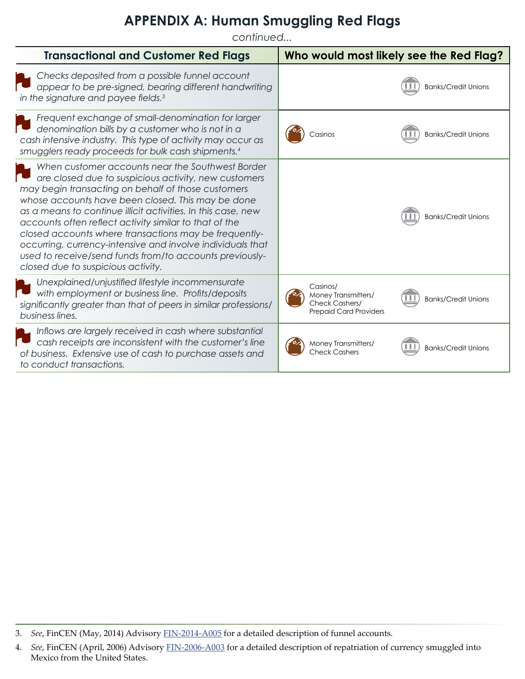#### **APPENDIX A: Human Smuggling Red Flags**

*continued...*

| <b>Transactional and Customer Red Flags</b>                                                                                                                                                                                                                                                                                                                                                                                                                                                                                                                           | Who would most likely see the Red Flag?                                                                          |
|-----------------------------------------------------------------------------------------------------------------------------------------------------------------------------------------------------------------------------------------------------------------------------------------------------------------------------------------------------------------------------------------------------------------------------------------------------------------------------------------------------------------------------------------------------------------------|------------------------------------------------------------------------------------------------------------------|
| Checks deposited from a possible funnel account<br>appear to be pre-signed, bearing different handwriting<br>in the signature and payee fields. <sup>3</sup>                                                                                                                                                                                                                                                                                                                                                                                                          | <b>Banks/Credit Unions</b>                                                                                       |
| Frequent exchange of small-denomination for larger<br>denomination bills by a customer who is not in a<br>cash intensive industry. This type of activity may occur as<br>smugglers ready proceeds for bulk cash shipments. <sup>4</sup>                                                                                                                                                                                                                                                                                                                               | <b>Banks/Credit Unions</b><br>Casinos                                                                            |
| When customer accounts near the Southwest Border<br>are closed due to suspicious activity, new customers<br>may begin transacting on behalf of those customers<br>whose accounts have been closed. This may be done<br>as a means to continue illicit activities. In this case, new<br>accounts often reflect activity similar to that of the<br>closed accounts where transactions may be frequently-<br>occurring, currency-intensive and involve individuals that<br>used to receive/send funds from/to accounts previously-<br>closed due to suspicious activity. | <b>Banks/Credit Unions</b>                                                                                       |
| Unexplained/unjustified lifestyle incommensurate<br>with employment or business line. Profits/deposits<br>significantly greater than that of peers in similar professions/<br>business lines.                                                                                                                                                                                                                                                                                                                                                                         | Casinos/<br>Money Transmitters/<br><b>Banks/Credit Unions</b><br>Check Cashers/<br><b>Prepaid Card Providers</b> |
| Inflows are largely received in cash where substantial<br>cash receipts are inconsistent with the customer's line<br>of business. Extensive use of cash to purchase assets and<br>to conduct transactions.                                                                                                                                                                                                                                                                                                                                                            | Money Transmitters/<br><b>Banks/Credit Unions</b><br><b>Check Cashers</b>                                        |

<sup>3.</sup> *See*, FinCEN (May, 2014) Advisory [FIN-2014-A005](http://www.fincen.gov/statutes_regs/guidance/pdf/FIN-2014-A005.pdf) for a detailed description of funnel accounts.

<sup>4.</sup> *See*, FinCEN (April, 2006) Advisory [FIN-2006-A003](http://www.fincen.gov/statutes_regs/guidance/pdf/advis04282006.pdf) for a detailed description of repatriation of currency smuggled into Mexico from the United States.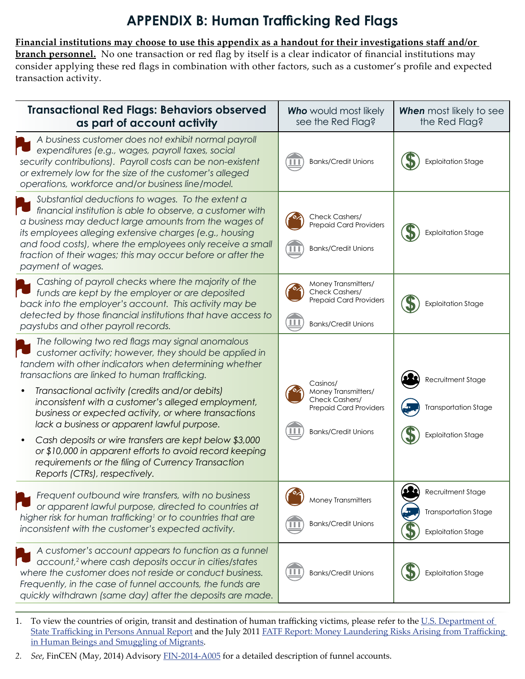## **APPENDIX B: Human Trafficking Red Flags**

<span id="page-8-0"></span>**Financial institutions may choose to use this appendix as a handout for their investigations staff and/or branch personnel.** No one transaction or red flag by itself is a clear indicator of financial institutions may consider applying these red flags in combination with other factors, such as a customer's profile and expected transaction activity.

| <b>Transactional Red Flags: Behaviors observed</b><br>as part of account activity                                                                                                                                                                                                                                                                                                  | <b>Who</b> would most likely<br>see the Red Flag?                                                    | <b>When</b> most likely to see<br>the Red Flag?          |
|------------------------------------------------------------------------------------------------------------------------------------------------------------------------------------------------------------------------------------------------------------------------------------------------------------------------------------------------------------------------------------|------------------------------------------------------------------------------------------------------|----------------------------------------------------------|
| A business customer does not exhibit normal payroll<br>expenditures (e.g., wages, payroll taxes, social<br>security contributions). Payroll costs can be non-existent<br>or extremely low for the size of the customer's alleged<br>operations, workforce and/or business line/model.                                                                                              | <b>Banks/Credit Unions</b>                                                                           | <b>Exploitation Stage</b>                                |
| Substantial deductions to wages. To the extent a<br>financial institution is able to observe, a customer with<br>a business may deduct large amounts from the wages of<br>its employees alleging extensive charges (e.g., housing<br>and food costs), where the employees only receive a small<br>fraction of their wages; this may occur before or after the<br>payment of wages. | Check Cashers/<br><b>Prepaid Card Providers</b><br><b>Banks/Credit Unions</b>                        | <b>Exploitation Stage</b>                                |
| Cashing of payroll checks where the majority of the<br>funds are kept by the employer or are deposited<br>back into the employer's account. This activity may be<br>detected by those financial institutions that have access to<br>paystubs and other payroll records.                                                                                                            | Money Transmitters/<br>Check Cashers/<br><b>Prepaid Card Providers</b><br><b>Banks/Credit Unions</b> | <b>Exploitation Stage</b>                                |
| The following two red flags may signal anomalous<br>customer activity; however, they should be applied in<br>tandem with other indicators when determining whether<br>transactions are linked to human trafficking.                                                                                                                                                                | Casinos/                                                                                             | Recruitment Stage                                        |
| Transactional activity (credits and/or debits)<br>inconsistent with a customer's alleged employment,<br>business or expected activity, or where transactions<br>lack a business or apparent lawful purpose.                                                                                                                                                                        | Money Transmitters/<br>Check Cashers/<br><b>Prepaid Card Providers</b>                               | <b>Transportation Stage</b>                              |
| Cash deposits or wire transfers are kept below \$3,000<br>or \$10,000 in apparent efforts to avoid record keeping<br>requirements or the filing of Currency Transaction<br>Reports (CTRs), respectively.                                                                                                                                                                           | <b>Banks/Credit Unions</b>                                                                           | <b>Exploitation Stage</b>                                |
| Frequent outbound wire transfers, with no business<br>or apparent lawful purpose, directed to countries at                                                                                                                                                                                                                                                                         | <b>Money Transmitters</b>                                                                            | Recruitment Stage                                        |
| higher risk for human trafficking <sup>1</sup> or to countries that are<br>inconsistent with the customer's expected activity.                                                                                                                                                                                                                                                     | <b>Banks/Credit Unions</b>                                                                           | <b>Transportation Stage</b><br><b>Exploitation Stage</b> |
| A customer's account appears to function as a funnel<br>account, <sup>2</sup> where cash deposits occur in cities/states<br>where the customer does not reside or conduct business.<br>Frequently, in the case of funnel accounts, the funds are<br>quickly withdrawn (same day) after the deposits are made.                                                                      | <b>Banks/Credit Unions</b>                                                                           | <b>Exploitation Stage</b>                                |

1. To view the countries of origin, transit and destination of human trafficking victims, please refer to the [U.S. Department of](http://www.state.gov/j/tip/rls/tiprpt/)  [State Trafficking in Persons Annual Report](http://www.state.gov/j/tip/rls/tiprpt/) and the July 2011 [FATF Report: Money Laundering Risks Arising from Trafficking](http://www.fatf-gafi.org/media/fatf/documents/reports/Trafficking%20in%20Human%20Beings%20and%20Smuggling%20of%20Migrants.pdf)  [in Human Beings and Smuggling of Migrants.](http://www.fatf-gafi.org/media/fatf/documents/reports/Trafficking%20in%20Human%20Beings%20and%20Smuggling%20of%20Migrants.pdf)

*2. See*, FinCEN (May, 2014) Advisory [FIN-2014-A005](http://www.fincen.gov/statutes_regs/guidance/pdf/FIN-2014-A005.pdf) for a detailed description of funnel accounts.